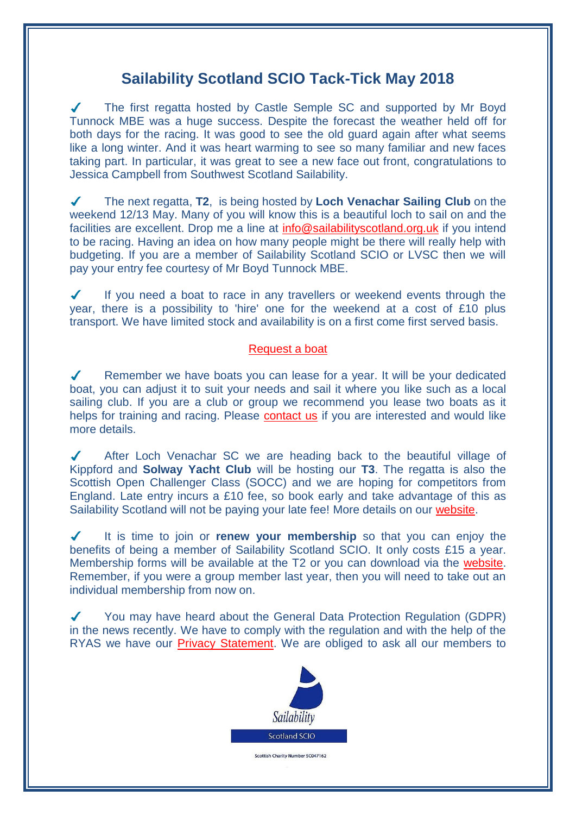## **Sailability Scotland SCIO Tack-Tick May 2018**

The first regatta hosted by Castle Semple SC and supported by Mr Boyd Tunnock MBE was a huge success. Despite the forecast the weather held off for both days for the racing. It was good to see the old guard again after what seems like a long winter. And it was heart warming to see so many familiar and new faces taking part. In particular, it was great to see a new face out front, congratulations to Jessica Campbell from Southwest Scotland Sailability.

The next regatta, **T2**, is being hosted by **Loch Venachar Sailing Club** on the  $\checkmark$ weekend 12/13 May. Many of you will know this is a beautiful loch to sail on and the facilities are excellent. Drop me a line at [info@sailabilityscotland.org.uk](mailto:info@sailabilityscotland.org.uk?subject=I) if you intend to be racing. Having an idea on how many people might be there will really help with budgeting. If you are a member of Sailability Scotland SCIO or LVSC then we will pay your entry fee courtesy of Mr Boyd Tunnock MBE.

If you need a boat to race in any travellers or weekend events through the year, there is a possibility to 'hire' one for the weekend at a cost of £10 plus transport. We have limited stock and availability is on a first come first served basis.

## [Request a boat](mailto:info@sailabilityscotland.org.uk?subject=T2@LVSC%202018%20-%20Request%20a%20Boat)

Remember we have boats you can lease for a year. It will be your dedicated  $\sqrt{2}$ boat, you can adjust it to suit your needs and sail it where you like such as a local sailing club. If you are a club or group we recommend you lease two boats as it helps for training and racing. Please [contact us](mailto:info@sailabilityscotland.org.uk?subject=Boat%20Lease) if you are interested and would like more details.

After Loch Venachar SC we are heading back to the beautiful village of Kippford and **Solway Yacht Club** will be hosting our **T3**. The regatta is also the Scottish Open Challenger Class (SOCC) and we are hoping for competitors from England. Late entry incurs a £10 fee, so book early and take advantage of this as Sailability Scotland will not be paying your late fee! More details on our [website.](http://www.sailabilityscotland.org.uk/traveller_series_2018.html)

It is time to join or **renew your membership** so that you can enjoy the  $\boldsymbol{J}$ benefits of being a member of Sailability Scotland SCIO. It only costs £15 a year. Membership forms will be available at the T2 or you can download via the [website.](http://www.sailabilityscotland.org.uk/membership_2018.html) Remember, if you were a group member last year, then you will need to take out an individual membership from now on.

You may have heard about the General Data Protection Regulation (GDPR) in the news recently. We have to comply with the regulation and with the help of the RYAS we have our [Privacy Statement.](http://www.sailabilityscotland.org.uk/media/other/32393/GDPR.pdf) We are obliged to ask all our members to



Scottish Charity Number SC047162